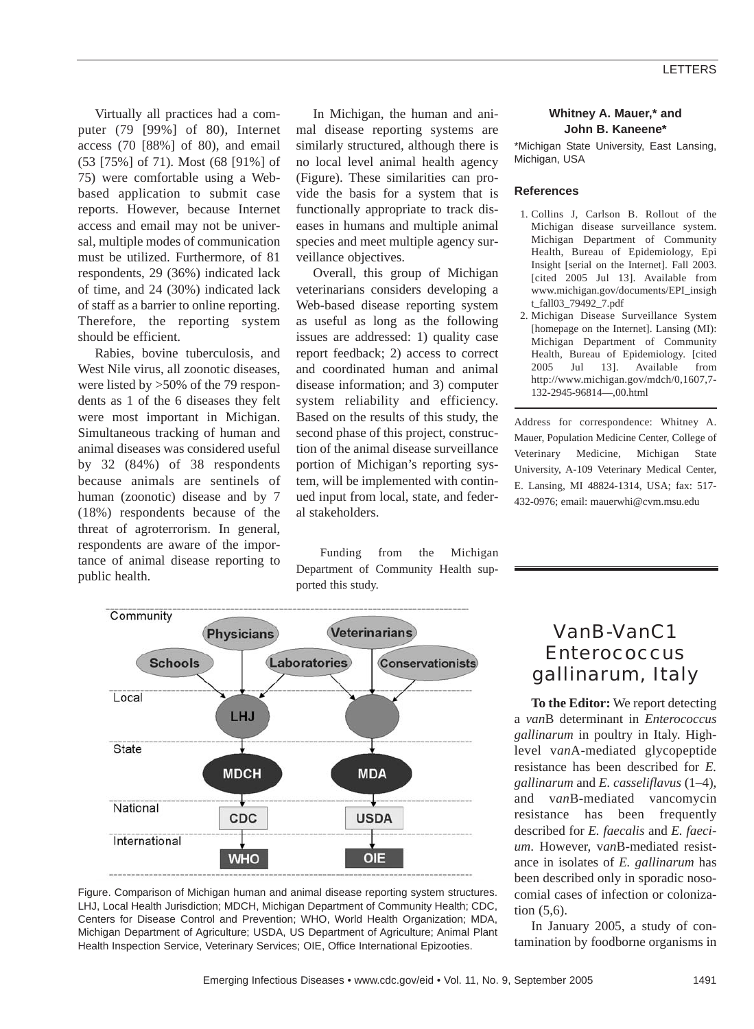Virtually all practices had a computer (79 [99%] of 80), Internet access (70 [88%] of 80), and email (53 [75%] of 71). Most (68 [91%] of 75) were comfortable using a Webbased application to submit case reports. However, because Internet access and email may not be universal, multiple modes of communication must be utilized. Furthermore, of 81 respondents, 29 (36%) indicated lack of time, and 24 (30%) indicated lack of staff as a barrier to online reporting. Therefore, the reporting system should be efficient.

Rabies, bovine tuberculosis, and West Nile virus, all zoonotic diseases, were listed by >50% of the 79 respondents as 1 of the 6 diseases they felt were most important in Michigan. Simultaneous tracking of human and animal diseases was considered useful by 32 (84%) of 38 respondents because animals are sentinels of human (zoonotic) disease and by 7 (18%) respondents because of the threat of agroterrorism. In general, respondents are aware of the importance of animal disease reporting to public health.

In Michigan, the human and animal disease reporting systems are similarly structured, although there is no local level animal health agency (Figure). These similarities can provide the basis for a system that is functionally appropriate to track diseases in humans and multiple animal species and meet multiple agency surveillance objectives.

Overall, this group of Michigan veterinarians considers developing a Web-based disease reporting system as useful as long as the following issues are addressed: 1) quality case report feedback; 2) access to correct and coordinated human and animal disease information; and 3) computer system reliability and efficiency. Based on the results of this study, the second phase of this project, construction of the animal disease surveillance portion of Michigan's reporting system, will be implemented with continued input from local, state, and federal stakeholders.

Funding from the Michigan Department of Community Health sup-

ported this study. Community Veterinarians Physicians **Schools** Laboratories Conservationists Local





#### **Whitney A. Mauer,\* and John B. Kaneene\***

\*Michigan State University, East Lansing, Michigan, USA

#### **References**

- 1. Collins J, Carlson B. Rollout of the Michigan disease surveillance system. Michigan Department of Community Health, Bureau of Epidemiology, Epi Insight [serial on the Internet]. Fall 2003. [cited 2005 Jul 13]. Available from www.michigan.gov/documents/EPI\_insigh t\_fall03\_79492\_7.pdf
- 2. Michigan Disease Surveillance System [homepage on the Internet]. Lansing (MI): Michigan Department of Community Health, Bureau of Epidemiology. [cited 2005 Jul 13]. Available from http://www.michigan.gov/mdch/0,1607,7- 132-2945-96814—,00.html

Address for correspondence: Whitney A. Mauer, Population Medicine Center, College of Veterinary Medicine, Michigan State University, A-109 Veterinary Medical Center, E. Lansing, MI 48824-1314, USA; fax: 517- 432-0976; email: mauerwhi@cvm.msu.edu

# *Van*B-*Van*C1 *Enterococcus gallinarum*, Italy

**To the Editor:** We report detecting a *van*B determinant in *Enterococcus gallinarum* in poultry in Italy. Highlevel v*an*A-mediated glycopeptide resistance has been described for *E. gallinarum* and *E. casseliflavus* (1–4), and v*an*B-mediated vancomycin resistance has been frequently described for *E. faecalis* and *E. faecium*. However, v*an*B-mediated resistance in isolates of *E. gallinarum* has been described only in sporadic nosocomial cases of infection or colonization (5,6).

In January 2005, a study of contamination by foodborne organisms in